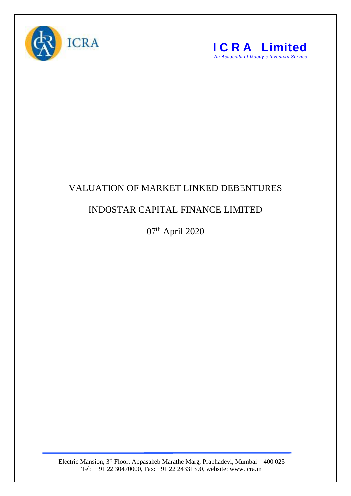



## VALUATION OF MARKET LINKED DEBENTURES

## INDOSTAR CAPITAL FINANCE LIMITED

07th April 2020

Electric Mansion, 3<sup>rd</sup> Floor, Appasaheb Marathe Marg, Prabhadevi, Mumbai – 400 025 Tel: +91 22 30470000, Fax: +91 22 24331390, website: www.icra.in